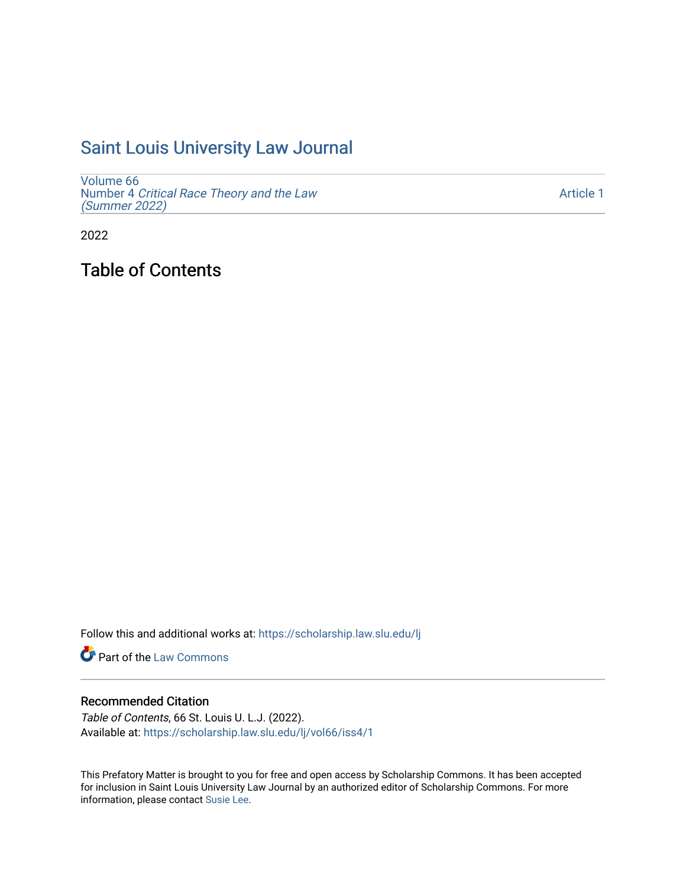# [Saint Louis University Law Journal](https://scholarship.law.slu.edu/lj)

[Volume 66](https://scholarship.law.slu.edu/lj/vol66) Number 4 [Critical Race Theory and the Law](https://scholarship.law.slu.edu/lj/vol66/iss4)  [\(Summer 2022\)](https://scholarship.law.slu.edu/lj/vol66/iss4)

[Article 1](https://scholarship.law.slu.edu/lj/vol66/iss4/1) 

2022

Table of Contents

Follow this and additional works at: [https://scholarship.law.slu.edu/lj](https://scholarship.law.slu.edu/lj?utm_source=scholarship.law.slu.edu%2Flj%2Fvol66%2Fiss4%2F1&utm_medium=PDF&utm_campaign=PDFCoverPages) 

**C** Part of the [Law Commons](https://network.bepress.com/hgg/discipline/578?utm_source=scholarship.law.slu.edu%2Flj%2Fvol66%2Fiss4%2F1&utm_medium=PDF&utm_campaign=PDFCoverPages)

#### Recommended Citation

Table of Contents, 66 St. Louis U. L.J. (2022). Available at: [https://scholarship.law.slu.edu/lj/vol66/iss4/1](https://scholarship.law.slu.edu/lj/vol66/iss4/1?utm_source=scholarship.law.slu.edu%2Flj%2Fvol66%2Fiss4%2F1&utm_medium=PDF&utm_campaign=PDFCoverPages) 

This Prefatory Matter is brought to you for free and open access by Scholarship Commons. It has been accepted for inclusion in Saint Louis University Law Journal by an authorized editor of Scholarship Commons. For more information, please contact [Susie Lee](mailto:susie.lee@slu.edu).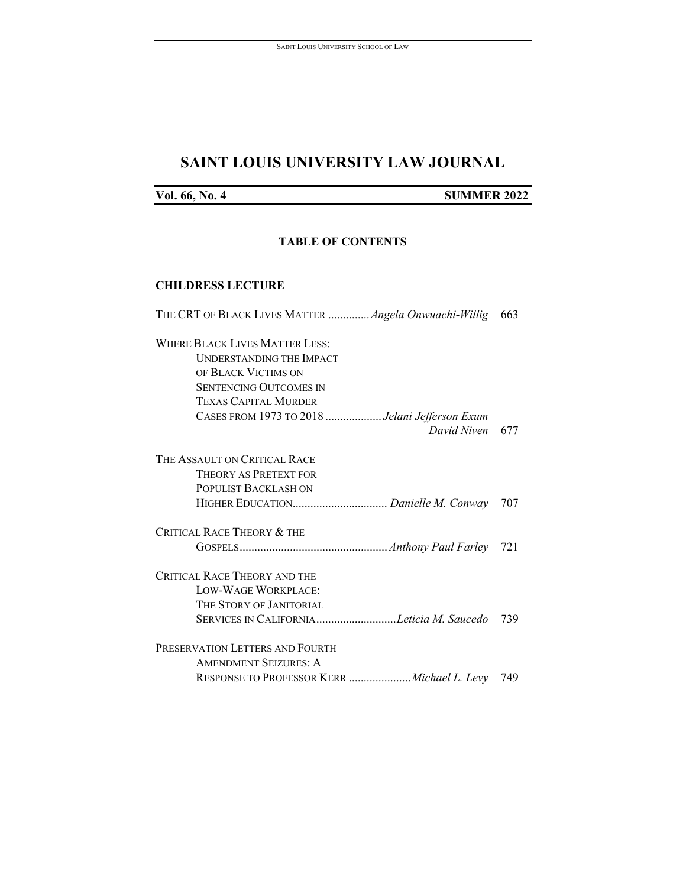## **SAINT LOUIS UNIVERSITY LAW JOURNAL**

**Vol. 66, No. 4 SUMMER 2022**

#### **TABLE OF CONTENTS**

#### **CHILDRESS LECTURE**

| THE CRT OF BLACK LIVES MATTER  Angela Onwuachi-Willig | 663 |
|-------------------------------------------------------|-----|
| <b>WHERE BLACK LIVES MATTER LESS:</b>                 |     |
| UNDERSTANDING THE IMPACT                              |     |
| OF BLACK VICTIMS ON                                   |     |
| <b>SENTENCING OUTCOMES IN</b>                         |     |
| <b>TEXAS CAPITAL MURDER</b>                           |     |
| CASES FROM 1973 TO 2018 Jelani Jefferson Exum         |     |
| David Niven                                           | 677 |
| THE ASSAULT ON CRITICAL RACE                          |     |
| THEORY AS PRETEXT FOR                                 |     |
| POPULIST BACKLASH ON                                  |     |
|                                                       | 707 |
| <b>CRITICAL RACE THEORY &amp; THE</b>                 |     |
|                                                       | 721 |
| <b>CRITICAL RACE THEORY AND THE</b>                   |     |
| LOW-WAGE WORKPLACE:                                   |     |
| THE STORY OF JANITORIAL                               |     |
| SERVICES IN CALIFORNIALeticia M. Saucedo              | 739 |
| PRESERVATION LETTERS AND FOURTH                       |     |
| <b>AMENDMENT SEIZURES: A</b>                          |     |
| RESPONSE TO PROFESSOR KERR <i>Michael L. Levy</i> 749 |     |